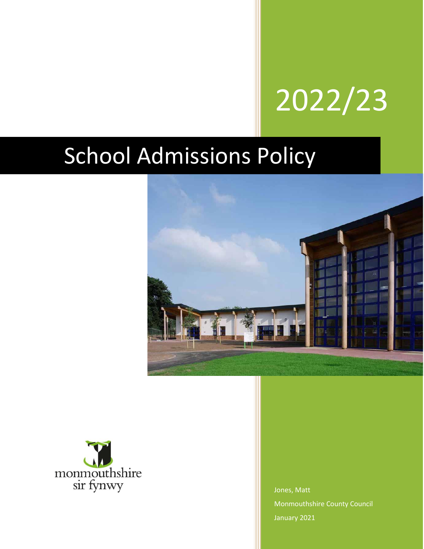# 2022/23

# School Admissions Policy





Jones, Matt Monmouthshire County Council January 2021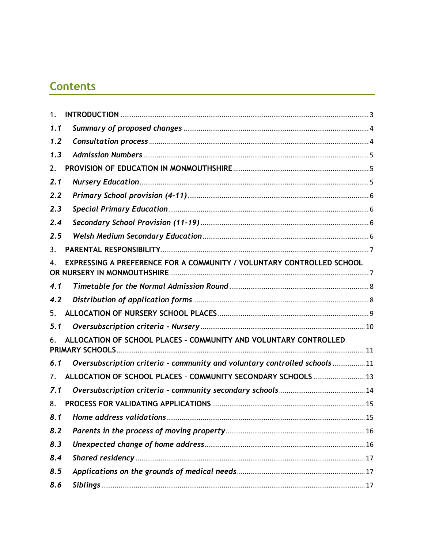# **Contents**

| 1.                             |                                                                          |  |
|--------------------------------|--------------------------------------------------------------------------|--|
| 1.1                            |                                                                          |  |
| 1.2                            |                                                                          |  |
| 1.3                            |                                                                          |  |
| 2.                             |                                                                          |  |
| 2.1                            |                                                                          |  |
| 2.2                            |                                                                          |  |
| 2.3                            |                                                                          |  |
| 2.4                            |                                                                          |  |
| 2.5                            |                                                                          |  |
| 3.                             |                                                                          |  |
| 4.                             | EXPRESSING A PREFERENCE FOR A COMMUNITY / VOLUNTARY CONTROLLED SCHOOL    |  |
| 4.1                            |                                                                          |  |
| 4.2                            |                                                                          |  |
| 5.                             |                                                                          |  |
| 5.1                            |                                                                          |  |
|                                | ALLOCATION OF SCHOOL PLACES - COMMUNITY AND VOLUNTARY CONTROLLED         |  |
| 6.1                            | Oversubscription criteria - community and voluntary controlled schools11 |  |
| $7_{\scriptscriptstyle{\sim}}$ | ALLOCATION OF SCHOOL PLACES - COMMUNITY SECONDARY SCHOOLS  13            |  |
| 7.1                            |                                                                          |  |
| 8.                             |                                                                          |  |
|                                |                                                                          |  |
| 8.2                            |                                                                          |  |
| 8.3                            |                                                                          |  |
| 8.4                            |                                                                          |  |
| 8.5                            |                                                                          |  |
| 8.6                            |                                                                          |  |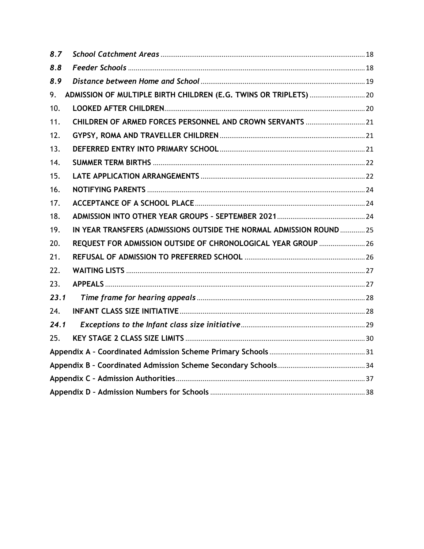| 8.7  |                                                                      |  |
|------|----------------------------------------------------------------------|--|
| 8.8  |                                                                      |  |
| 8.9  |                                                                      |  |
| 9.   |                                                                      |  |
| 10.  |                                                                      |  |
| 11.  | CHILDREN OF ARMED FORCES PERSONNEL AND CROWN SERVANTS  21            |  |
| 12.  |                                                                      |  |
| 13.  |                                                                      |  |
| 14.  |                                                                      |  |
| 15.  |                                                                      |  |
| 16.  |                                                                      |  |
| 17.  |                                                                      |  |
| 18.  |                                                                      |  |
| 19.  | IN YEAR TRANSFERS (ADMISSIONS OUTSIDE THE NORMAL ADMISSION ROUND  25 |  |
| 20.  | REQUEST FOR ADMISSION OUTSIDE OF CHRONOLOGICAL YEAR GROUP  26        |  |
| 21.  |                                                                      |  |
| 22.  |                                                                      |  |
| 23.  |                                                                      |  |
| 23.1 |                                                                      |  |
| 24.  |                                                                      |  |
| 24.1 |                                                                      |  |
| 25.  |                                                                      |  |
|      |                                                                      |  |
|      |                                                                      |  |
|      |                                                                      |  |
|      |                                                                      |  |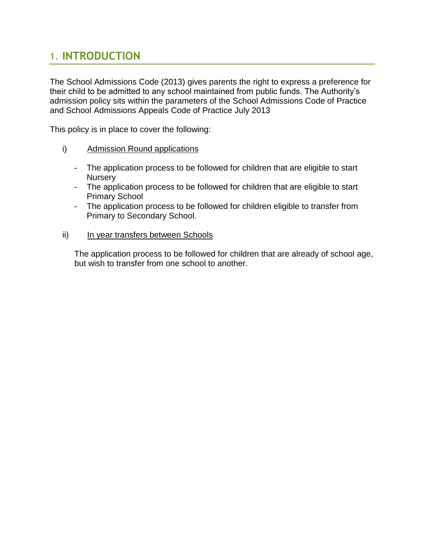# <span id="page-3-0"></span>1. **INTRODUCTION**

The School Admissions Code (2013) gives parents the right to express a preference for their child to be admitted to any school maintained from public funds. The Authority's admission policy sits within the parameters of the School Admissions Code of Practice and School Admissions Appeals Code of Practice July 2013

This policy is in place to cover the following:

- i) Admission Round applications
	- The application process to be followed for children that are eligible to start **Nursery**
	- The application process to be followed for children that are eligible to start Primary School
	- The application process to be followed for children eligible to transfer from Primary to Secondary School.
- ii) In year transfers between Schools

The application process to be followed for children that are already of school age, but wish to transfer from one school to another.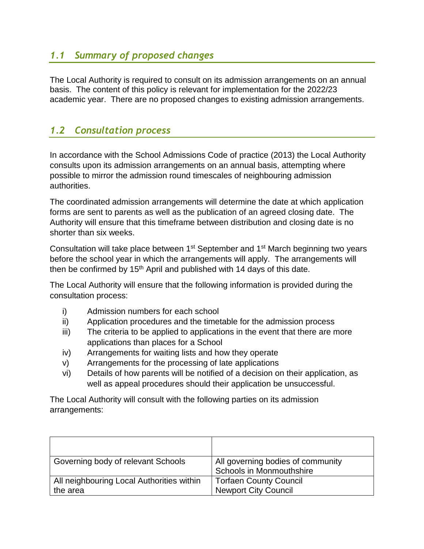#### <span id="page-4-0"></span>*1.1 Summary of proposed changes*

The Local Authority is required to consult on its admission arrangements on an annual basis. The content of this policy is relevant for implementation for the 2022/23 academic year. There are no proposed changes to existing admission arrangements.

#### <span id="page-4-1"></span>*1.2 Consultation process*

In accordance with the School Admissions Code of practice (2013) the Local Authority consults upon its admission arrangements on an annual basis, attempting where possible to mirror the admission round timescales of neighbouring admission authorities.

The coordinated admission arrangements will determine the date at which application forms are sent to parents as well as the publication of an agreed closing date. The Authority will ensure that this timeframe between distribution and closing date is no shorter than six weeks.

Consultation will take place between 1st September and 1st March beginning two years before the school year in which the arrangements will apply. The arrangements will then be confirmed by  $15<sup>th</sup>$  April and published with 14 days of this date.

The Local Authority will ensure that the following information is provided during the consultation process:

- i) Admission numbers for each school
- ii) Application procedures and the timetable for the admission process
- iii) The criteria to be applied to applications in the event that there are more applications than places for a School
- iv) Arrangements for waiting lists and how they operate
- v) Arrangements for the processing of late applications
- vi) Details of how parents will be notified of a decision on their application, as well as appeal procedures should their application be unsuccessful.

The Local Authority will consult with the following parties on its admission arrangements:

| Governing body of relevant Schools                    | All governing bodies of community<br><b>Schools in Monmouthshire</b> |
|-------------------------------------------------------|----------------------------------------------------------------------|
| All neighbouring Local Authorities within<br>the area | <b>Torfaen County Council</b><br><b>Newport City Council</b>         |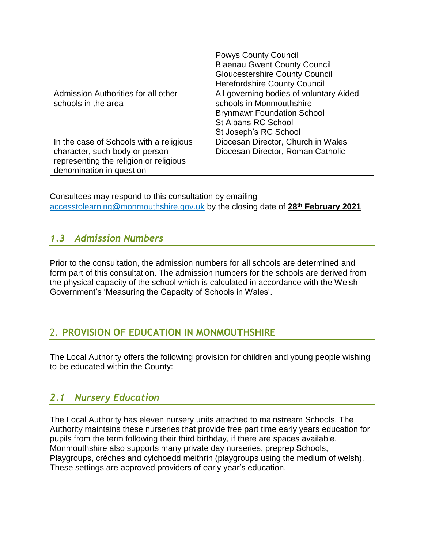|                                                                                                                                                 | <b>Powys County Council</b><br><b>Blaenau Gwent County Council</b><br><b>Gloucestershire County Council</b>                                                                                            |
|-------------------------------------------------------------------------------------------------------------------------------------------------|--------------------------------------------------------------------------------------------------------------------------------------------------------------------------------------------------------|
| Admission Authorities for all other<br>schools in the area                                                                                      | <b>Herefordshire County Council</b><br>All governing bodies of voluntary Aided<br>schools in Monmouthshire<br><b>Brynmawr Foundation School</b><br><b>St Albans RC School</b><br>St Joseph's RC School |
| In the case of Schools with a religious<br>character, such body or person<br>representing the religion or religious<br>denomination in question | Diocesan Director, Church in Wales<br>Diocesan Director, Roman Catholic                                                                                                                                |

Consultees may respond to this consultation by emailing [accesstolearning@monmouthshire.gov.uk](mailto:accesstolearning@monmouthshire.gov.uk) by the closing date of **28th February 2021**

#### <span id="page-5-0"></span>*1.3 Admission Numbers*

Prior to the consultation, the admission numbers for all schools are determined and form part of this consultation. The admission numbers for the schools are derived from the physical capacity of the school which is calculated in accordance with the Welsh Government's 'Measuring the Capacity of Schools in Wales'.

#### <span id="page-5-1"></span>2. **PROVISION OF EDUCATION IN MONMOUTHSHIRE**

<span id="page-5-2"></span>The Local Authority offers the following provision for children and young people wishing to be educated within the County:

#### *2.1 Nursery Education*

The Local Authority has eleven nursery units attached to mainstream Schools. The Authority maintains these nurseries that provide free part time early years education for pupils from the term following their third birthday, if there are spaces available. Monmouthshire also supports many private day nurseries, preprep Schools, Playgroups, crèches and cylchoedd meithrin (playgroups using the medium of welsh). These settings are approved providers of early year's education.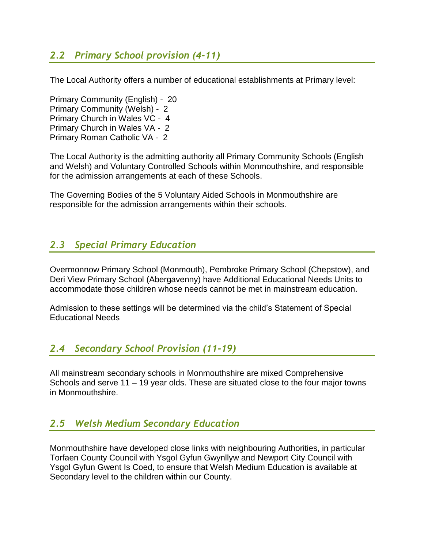#### <span id="page-6-0"></span>*2.2 Primary School provision (4-11)*

The Local Authority offers a number of educational establishments at Primary level:

Primary Community (English) - 20 Primary Community (Welsh) - 2 Primary Church in Wales VC - 4 Primary Church in Wales VA - 2 Primary Roman Catholic VA - 2

The Local Authority is the admitting authority all Primary Community Schools (English and Welsh) and Voluntary Controlled Schools within Monmouthshire, and responsible for the admission arrangements at each of these Schools.

The Governing Bodies of the 5 Voluntary Aided Schools in Monmouthshire are responsible for the admission arrangements within their schools.

#### <span id="page-6-1"></span>*2.3 Special Primary Education*

Overmonnow Primary School (Monmouth), Pembroke Primary School (Chepstow), and Deri View Primary School (Abergavenny) have Additional Educational Needs Units to accommodate those children whose needs cannot be met in mainstream education.

<span id="page-6-2"></span>Admission to these settings will be determined via the child's Statement of Special Educational Needs

#### *2.4 Secondary School Provision (11-19)*

All mainstream secondary schools in Monmouthshire are mixed Comprehensive Schools and serve 11 – 19 year olds. These are situated close to the four major towns in Monmouthshire.

#### <span id="page-6-3"></span>*2.5 Welsh Medium Secondary Education*

Monmouthshire have developed close links with neighbouring Authorities, in particular Torfaen County Council with Ysgol Gyfun Gwynllyw and Newport City Council with Ysgol Gyfun Gwent Is Coed, to ensure that Welsh Medium Education is available at Secondary level to the children within our County.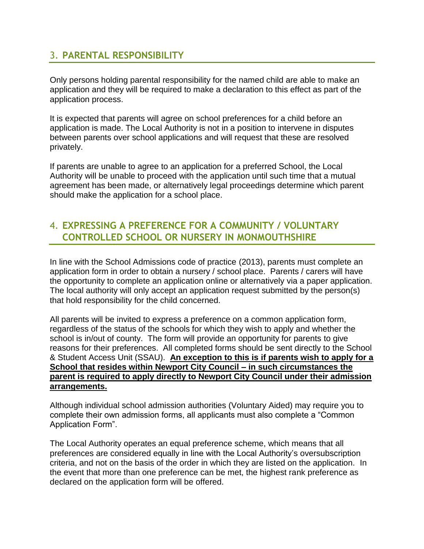#### <span id="page-7-0"></span>3. **PARENTAL RESPONSIBILITY**

Only persons holding parental responsibility for the named child are able to make an application and they will be required to make a declaration to this effect as part of the application process.

It is expected that parents will agree on school preferences for a child before an application is made. The Local Authority is not in a position to intervene in disputes between parents over school applications and will request that these are resolved privately.

If parents are unable to agree to an application for a preferred School, the Local Authority will be unable to proceed with the application until such time that a mutual agreement has been made, or alternatively legal proceedings determine which parent should make the application for a school place.

#### <span id="page-7-1"></span>4. **EXPRESSING A PREFERENCE FOR A COMMUNITY / VOLUNTARY CONTROLLED SCHOOL OR NURSERY IN MONMOUTHSHIRE**

In line with the School Admissions code of practice (2013), parents must complete an application form in order to obtain a nursery / school place. Parents / carers will have the opportunity to complete an application online or alternatively via a paper application. The local authority will only accept an application request submitted by the person(s) that hold responsibility for the child concerned.

All parents will be invited to express a preference on a common application form, regardless of the status of the schools for which they wish to apply and whether the school is in/out of county. The form will provide an opportunity for parents to give reasons for their preferences. All completed forms should be sent directly to the School & Student Access Unit (SSAU). **An exception to this is if parents wish to apply for a School that resides within Newport City Council – in such circumstances the parent is required to apply directly to Newport City Council under their admission arrangements.** 

Although individual school admission authorities (Voluntary Aided) may require you to complete their own admission forms, all applicants must also complete a "Common Application Form".

The Local Authority operates an equal preference scheme, which means that all preferences are considered equally in line with the Local Authority's oversubscription criteria, and not on the basis of the order in which they are listed on the application. In the event that more than one preference can be met, the highest rank preference as declared on the application form will be offered.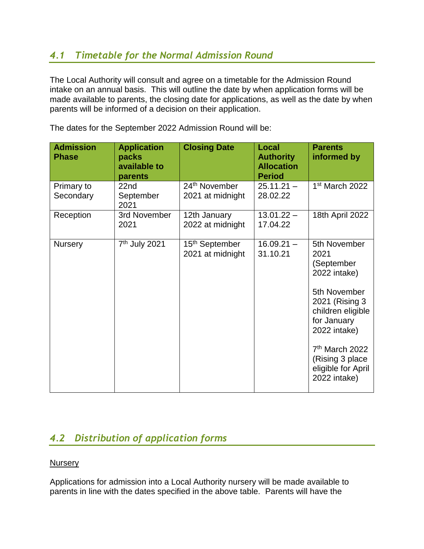#### <span id="page-8-0"></span>*4.1 Timetable for the Normal Admission Round*

The Local Authority will consult and agree on a timetable for the Admission Round intake on an annual basis. This will outline the date by when application forms will be made available to parents, the closing date for applications, as well as the date by when parents will be informed of a decision on their application.

| <b>Admission</b><br><b>Phase</b> | <b>Application</b><br>packs<br>available to<br>parents | <b>Closing Date</b>                            | Local<br><b>Authority</b><br><b>Allocation</b><br><b>Period</b> | <b>Parents</b><br>informed by                                                                                                                                                                                                     |
|----------------------------------|--------------------------------------------------------|------------------------------------------------|-----------------------------------------------------------------|-----------------------------------------------------------------------------------------------------------------------------------------------------------------------------------------------------------------------------------|
| Primary to<br>Secondary          | 22nd<br>September<br>2021                              | 24 <sup>th</sup> November<br>2021 at midnight  | $25.11.21 -$<br>28.02.22                                        | 1 <sup>st</sup> March 2022                                                                                                                                                                                                        |
| Reception                        | 3rd November<br>2021                                   | 12th January<br>2022 at midnight               | $13.01.22 -$<br>17.04.22                                        | 18th April 2022                                                                                                                                                                                                                   |
| <b>Nursery</b>                   | 7 <sup>th</sup> July 2021                              | 15 <sup>th</sup> September<br>2021 at midnight | $16.09.21 -$<br>31.10.21                                        | 5th November<br>2021<br>(September<br>2022 intake)<br>5th November<br>2021 (Rising 3)<br>children eligible<br>for January<br>2022 intake)<br>7 <sup>th</sup> March 2022<br>(Rising 3 place)<br>eligible for April<br>2022 intake) |

The dates for the September 2022 Admission Round will be:

### <span id="page-8-1"></span>*4.2 Distribution of application forms*

#### **Nursery**

Applications for admission into a Local Authority nursery will be made available to parents in line with the dates specified in the above table. Parents will have the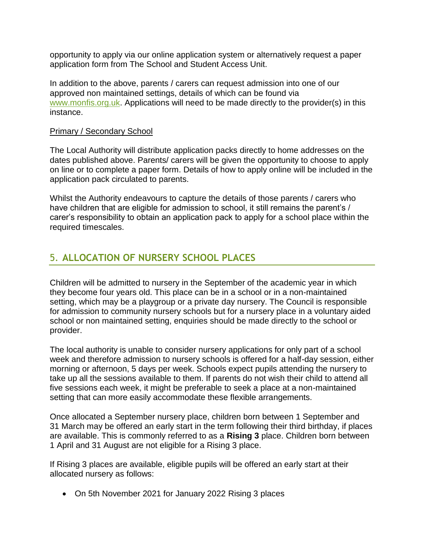opportunity to apply via our online application system or alternatively request a paper application form from The School and Student Access Unit.

In addition to the above, parents / carers can request admission into one of our approved non maintained settings, details of which can be found via [www.monfis.org.uk.](http://www.monfis.org.uk/) Applications will need to be made directly to the provider(s) in this instance.

#### Primary / Secondary School

The Local Authority will distribute application packs directly to home addresses on the dates published above. Parents/ carers will be given the opportunity to choose to apply on line or to complete a paper form. Details of how to apply online will be included in the application pack circulated to parents.

Whilst the Authority endeavours to capture the details of those parents / carers who have children that are eligible for admission to school, it still remains the parent's / carer's responsibility to obtain an application pack to apply for a school place within the required timescales.

#### <span id="page-9-0"></span>5. **ALLOCATION OF NURSERY SCHOOL PLACES**

Children will be admitted to nursery in the September of the academic year in which they become four years old. This place can be in a school or in a non-maintained setting, which may be a playgroup or a private day nursery. The Council is responsible for admission to community nursery schools but for a nursery place in a voluntary aided school or non maintained setting, enquiries should be made directly to the school or provider.

The local authority is unable to consider nursery applications for only part of a school week and therefore admission to nursery schools is offered for a half-day session, either morning or afternoon, 5 days per week. Schools expect pupils attending the nursery to take up all the sessions available to them. If parents do not wish their child to attend all five sessions each week, it might be preferable to seek a place at a non-maintained setting that can more easily accommodate these flexible arrangements.

Once allocated a September nursery place, children born between 1 September and 31 March may be offered an early start in the term following their third birthday, if places are available. This is commonly referred to as a **Rising 3** place. Children born between 1 April and 31 August are not eligible for a Rising 3 place.

If Rising 3 places are available, eligible pupils will be offered an early start at their allocated nursery as follows:

On 5th November 2021 for January 2022 Rising 3 places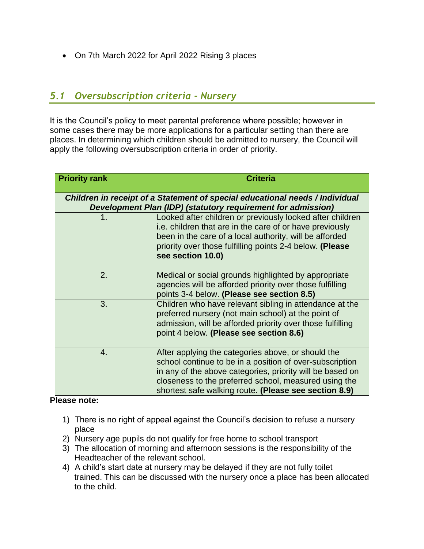On 7th March 2022 for April 2022 Rising 3 places

#### <span id="page-10-0"></span>*5.1 Oversubscription criteria - Nursery*

It is the Council's policy to meet parental preference where possible; however in some cases there may be more applications for a particular setting than there are places. In determining which children should be admitted to nursery, the Council will apply the following oversubscription criteria in order of priority.

| <b>Priority rank</b>                                                                                                                         | <b>Criteria</b>                                                                                                                                                                                                                                                                               |  |  |
|----------------------------------------------------------------------------------------------------------------------------------------------|-----------------------------------------------------------------------------------------------------------------------------------------------------------------------------------------------------------------------------------------------------------------------------------------------|--|--|
| Children in receipt of a Statement of special educational needs / Individual<br>Development Plan (IDP) (statutory requirement for admission) |                                                                                                                                                                                                                                                                                               |  |  |
| $\blacklozenge$                                                                                                                              | Looked after children or previously looked after children<br>i.e. children that are in the care of or have previously<br>been in the care of a local authority, will be afforded<br>priority over those fulfilling points 2-4 below. (Please<br>see section 10.0)                             |  |  |
| 2.                                                                                                                                           | Medical or social grounds highlighted by appropriate<br>agencies will be afforded priority over those fulfilling<br>points 3-4 below. (Please see section 8.5)                                                                                                                                |  |  |
| 3.                                                                                                                                           | Children who have relevant sibling in attendance at the<br>preferred nursery (not main school) at the point of<br>admission, will be afforded priority over those fulfilling<br>point 4 below. (Please see section 8.6)                                                                       |  |  |
| 4.                                                                                                                                           | After applying the categories above, or should the<br>school continue to be in a position of over-subscription<br>in any of the above categories, priority will be based on<br>closeness to the preferred school, measured using the<br>shortest safe walking route. (Please see section 8.9) |  |  |

#### **Please note:**

- 1) There is no right of appeal against the Council's decision to refuse a nursery place
- 2) Nursery age pupils do not qualify for free home to school transport
- 3) The allocation of morning and afternoon sessions is the responsibility of the Headteacher of the relevant school.
- 4) A child's start date at nursery may be delayed if they are not fully toilet trained. This can be discussed with the nursery once a place has been allocated to the child.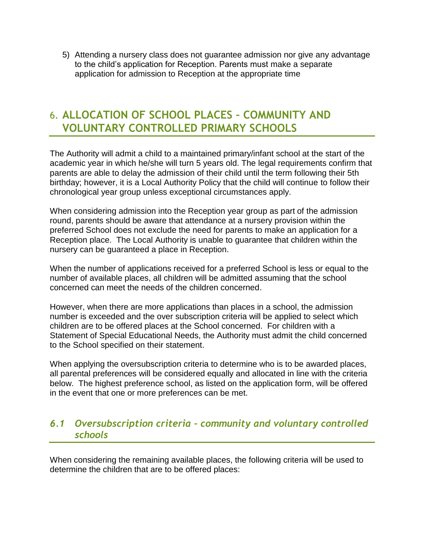5) Attending a nursery class does not guarantee admission nor give any advantage to the child's application for Reception. Parents must make a separate application for admission to Reception at the appropriate time

# <span id="page-11-0"></span>6. **ALLOCATION OF SCHOOL PLACES – COMMUNITY AND VOLUNTARY CONTROLLED PRIMARY SCHOOLS**

The Authority will admit a child to a maintained primary/infant school at the start of the academic year in which he/she will turn 5 years old. The legal requirements confirm that parents are able to delay the admission of their child until the term following their 5th birthday; however, it is a Local Authority Policy that the child will continue to follow their chronological year group unless exceptional circumstances apply.

When considering admission into the Reception year group as part of the admission round, parents should be aware that attendance at a nursery provision within the preferred School does not exclude the need for parents to make an application for a Reception place. The Local Authority is unable to guarantee that children within the nursery can be guaranteed a place in Reception.

When the number of applications received for a preferred School is less or equal to the number of available places, all children will be admitted assuming that the school concerned can meet the needs of the children concerned.

However, when there are more applications than places in a school, the admission number is exceeded and the over subscription criteria will be applied to select which children are to be offered places at the School concerned. For children with a Statement of Special Educational Needs, the Authority must admit the child concerned to the School specified on their statement.

When applying the oversubscription criteria to determine who is to be awarded places, all parental preferences will be considered equally and allocated in line with the criteria below. The highest preference school, as listed on the application form, will be offered in the event that one or more preferences can be met.

#### <span id="page-11-1"></span>*6.1 Oversubscription criteria – community and voluntary controlled schools*

When considering the remaining available places, the following criteria will be used to determine the children that are to be offered places: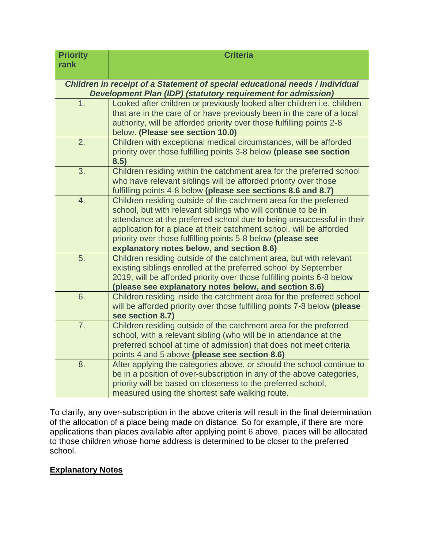| <b>Priority</b>                           | <b>Criteria</b>                                                                                                               |  |  |  |  |  |
|-------------------------------------------|-------------------------------------------------------------------------------------------------------------------------------|--|--|--|--|--|
| rank                                      |                                                                                                                               |  |  |  |  |  |
|                                           | Children in receipt of a Statement of special educational needs / Individual                                                  |  |  |  |  |  |
|                                           | <b>Development Plan (IDP) (statutory requirement for admission)</b>                                                           |  |  |  |  |  |
| 1.                                        | Looked after children or previously looked after children i.e. children                                                       |  |  |  |  |  |
|                                           | that are in the care of or have previously been in the care of a local                                                        |  |  |  |  |  |
|                                           | authority, will be afforded priority over those fulfilling points 2-8                                                         |  |  |  |  |  |
|                                           | below. (Please see section 10.0)                                                                                              |  |  |  |  |  |
| 2.                                        | Children with exceptional medical circumstances, will be afforded                                                             |  |  |  |  |  |
|                                           | priority over those fulfilling points 3-8 below (please see section<br>8.5)                                                   |  |  |  |  |  |
| 3.                                        | Children residing within the catchment area for the preferred school                                                          |  |  |  |  |  |
|                                           | who have relevant siblings will be afforded priority over those                                                               |  |  |  |  |  |
|                                           | fulfilling points 4-8 below (please see sections 8.6 and 8.7)                                                                 |  |  |  |  |  |
| 4.                                        | Children residing outside of the catchment area for the preferred                                                             |  |  |  |  |  |
|                                           | school, but with relevant siblings who will continue to be in                                                                 |  |  |  |  |  |
|                                           | attendance at the preferred school due to being unsuccessful in their                                                         |  |  |  |  |  |
|                                           | application for a place at their catchment school. will be afforded                                                           |  |  |  |  |  |
|                                           | priority over those fulfilling points 5-8 below (please see                                                                   |  |  |  |  |  |
| explanatory notes below, and section 8.6) |                                                                                                                               |  |  |  |  |  |
| 5.                                        | Children residing outside of the catchment area, but with relevant                                                            |  |  |  |  |  |
|                                           | existing siblings enrolled at the preferred school by September                                                               |  |  |  |  |  |
|                                           | 2019, will be afforded priority over those fulfilling points 6-8 below                                                        |  |  |  |  |  |
| 6.                                        | (please see explanatory notes below, and section 8.6)<br>Children residing inside the catchment area for the preferred school |  |  |  |  |  |
|                                           | will be afforded priority over those fulfilling points 7-8 below (please                                                      |  |  |  |  |  |
|                                           | see section 8.7)                                                                                                              |  |  |  |  |  |
| $\overline{7}$ .                          | Children residing outside of the catchment area for the preferred                                                             |  |  |  |  |  |
|                                           | school, with a relevant sibling (who will be in attendance at the                                                             |  |  |  |  |  |
|                                           | preferred school at time of admission) that does not meet criteria                                                            |  |  |  |  |  |
|                                           | points 4 and 5 above (please see section 8.6)                                                                                 |  |  |  |  |  |
| 8.                                        | After applying the categories above, or should the school continue to                                                         |  |  |  |  |  |
|                                           | be in a position of over-subscription in any of the above categories,                                                         |  |  |  |  |  |
|                                           | priority will be based on closeness to the preferred school,                                                                  |  |  |  |  |  |
|                                           | measured using the shortest safe walking route.                                                                               |  |  |  |  |  |

To clarify, any over-subscription in the above criteria will result in the final determination of the allocation of a place being made on distance. So for example, if there are more applications than places available after applying point 6 above, places will be allocated to those children whose home address is determined to be closer to the preferred school.

#### **Explanatory Notes**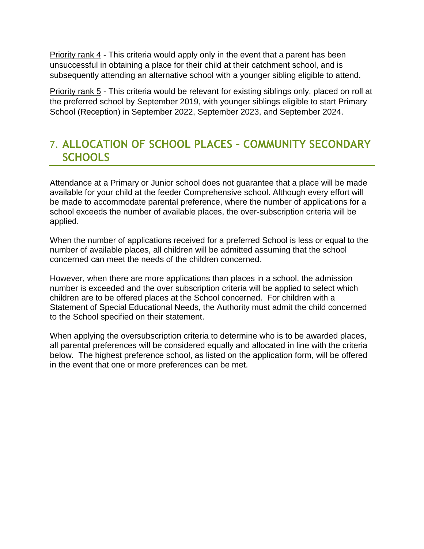Priority rank 4 - This criteria would apply only in the event that a parent has been unsuccessful in obtaining a place for their child at their catchment school, and is subsequently attending an alternative school with a younger sibling eligible to attend.

Priority rank 5 - This criteria would be relevant for existing siblings only, placed on roll at the preferred school by September 2019, with younger siblings eligible to start Primary School (Reception) in September 2022, September 2023, and September 2024.

# <span id="page-13-0"></span>7. **ALLOCATION OF SCHOOL PLACES – COMMUNITY SECONDARY SCHOOLS**

Attendance at a Primary or Junior school does not guarantee that a place will be made available for your child at the feeder Comprehensive school. Although every effort will be made to accommodate parental preference, where the number of applications for a school exceeds the number of available places, the over-subscription criteria will be applied.

When the number of applications received for a preferred School is less or equal to the number of available places, all children will be admitted assuming that the school concerned can meet the needs of the children concerned.

However, when there are more applications than places in a school, the admission number is exceeded and the over subscription criteria will be applied to select which children are to be offered places at the School concerned. For children with a Statement of Special Educational Needs, the Authority must admit the child concerned to the School specified on their statement.

When applying the oversubscription criteria to determine who is to be awarded places, all parental preferences will be considered equally and allocated in line with the criteria below. The highest preference school, as listed on the application form, will be offered in the event that one or more preferences can be met.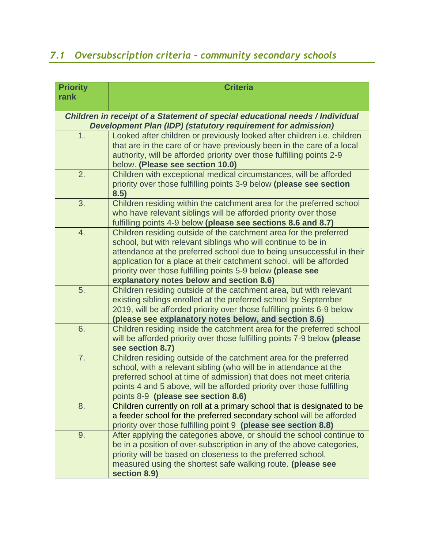# <span id="page-14-0"></span>*7.1 Oversubscription criteria – community secondary schools*

| <b>Priority</b>                                                                                                                                     | <b>Criteria</b>                                                                                                                        |  |  |  |
|-----------------------------------------------------------------------------------------------------------------------------------------------------|----------------------------------------------------------------------------------------------------------------------------------------|--|--|--|
| rank                                                                                                                                                |                                                                                                                                        |  |  |  |
|                                                                                                                                                     |                                                                                                                                        |  |  |  |
| Children in receipt of a Statement of special educational needs / Individual<br><b>Development Plan (IDP) (statutory requirement for admission)</b> |                                                                                                                                        |  |  |  |
| 1.                                                                                                                                                  | Looked after children or previously looked after children i.e. children                                                                |  |  |  |
|                                                                                                                                                     | that are in the care of or have previously been in the care of a local                                                                 |  |  |  |
|                                                                                                                                                     | authority, will be afforded priority over those fulfilling points 2-9                                                                  |  |  |  |
| 2.                                                                                                                                                  | below. (Please see section 10.0)<br>Children with exceptional medical circumstances, will be afforded                                  |  |  |  |
|                                                                                                                                                     | priority over those fulfilling points 3-9 below (please see section                                                                    |  |  |  |
|                                                                                                                                                     | 8.5)                                                                                                                                   |  |  |  |
| 3.                                                                                                                                                  | Children residing within the catchment area for the preferred school                                                                   |  |  |  |
|                                                                                                                                                     | who have relevant siblings will be afforded priority over those                                                                        |  |  |  |
|                                                                                                                                                     | fulfilling points 4-9 below (please see sections 8.6 and 8.7)                                                                          |  |  |  |
| 4.                                                                                                                                                  | Children residing outside of the catchment area for the preferred                                                                      |  |  |  |
|                                                                                                                                                     | school, but with relevant siblings who will continue to be in<br>attendance at the preferred school due to being unsuccessful in their |  |  |  |
|                                                                                                                                                     | application for a place at their catchment school. will be afforded                                                                    |  |  |  |
|                                                                                                                                                     | priority over those fulfilling points 5-9 below (please see                                                                            |  |  |  |
|                                                                                                                                                     | explanatory notes below and section 8.6)                                                                                               |  |  |  |
| 5.                                                                                                                                                  | Children residing outside of the catchment area, but with relevant                                                                     |  |  |  |
|                                                                                                                                                     | existing siblings enrolled at the preferred school by September                                                                        |  |  |  |
|                                                                                                                                                     | 2019, will be afforded priority over those fulfilling points 6-9 below                                                                 |  |  |  |
|                                                                                                                                                     | (please see explanatory notes below, and section 8.6)                                                                                  |  |  |  |
| 6.                                                                                                                                                  | Children residing inside the catchment area for the preferred school                                                                   |  |  |  |
|                                                                                                                                                     | will be afforded priority over those fulfilling points 7-9 below (please                                                               |  |  |  |
| 7.                                                                                                                                                  | see section 8.7)<br>Children residing outside of the catchment area for the preferred                                                  |  |  |  |
|                                                                                                                                                     | school, with a relevant sibling (who will be in attendance at the                                                                      |  |  |  |
|                                                                                                                                                     | preferred school at time of admission) that does not meet criteria                                                                     |  |  |  |
|                                                                                                                                                     | points 4 and 5 above, will be afforded priority over those fulfilling                                                                  |  |  |  |
|                                                                                                                                                     | points 8-9 (please see section 8.6)                                                                                                    |  |  |  |
| 8.                                                                                                                                                  | Children currently on roll at a primary school that is designated to be                                                                |  |  |  |
|                                                                                                                                                     | a feeder school for the preferred secondary school will be afforded                                                                    |  |  |  |
|                                                                                                                                                     | priority over those fulfilling point 9 (please see section 8.8)                                                                        |  |  |  |
| 9.                                                                                                                                                  | After applying the categories above, or should the school continue to                                                                  |  |  |  |
|                                                                                                                                                     | be in a position of over-subscription in any of the above categories,                                                                  |  |  |  |
|                                                                                                                                                     | priority will be based on closeness to the preferred school,                                                                           |  |  |  |
|                                                                                                                                                     | measured using the shortest safe walking route. (please see                                                                            |  |  |  |
|                                                                                                                                                     | section 8.9)                                                                                                                           |  |  |  |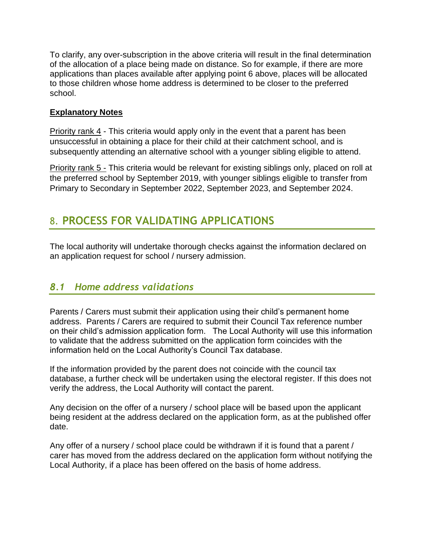To clarify, any over-subscription in the above criteria will result in the final determination of the allocation of a place being made on distance. So for example, if there are more applications than places available after applying point 6 above, places will be allocated to those children whose home address is determined to be closer to the preferred school.

#### **Explanatory Notes**

Priority rank 4 - This criteria would apply only in the event that a parent has been unsuccessful in obtaining a place for their child at their catchment school, and is subsequently attending an alternative school with a younger sibling eligible to attend.

Priority rank 5 - This criteria would be relevant for existing siblings only, placed on roll at the preferred school by September 2019, with younger siblings eligible to transfer from Primary to Secondary in September 2022, September 2023, and September 2024.

# <span id="page-15-0"></span>8. **PROCESS FOR VALIDATING APPLICATIONS**

<span id="page-15-1"></span>The local authority will undertake thorough checks against the information declared on an application request for school / nursery admission.

#### *8.1 Home address validations*

Parents / Carers must submit their application using their child's permanent home address. Parents / Carers are required to submit their Council Tax reference number on their child's admission application form. The Local Authority will use this information to validate that the address submitted on the application form coincides with the information held on the Local Authority's Council Tax database.

If the information provided by the parent does not coincide with the council tax database, a further check will be undertaken using the electoral register. If this does not verify the address, the Local Authority will contact the parent.

Any decision on the offer of a nursery / school place will be based upon the applicant being resident at the address declared on the application form, as at the published offer date.

Any offer of a nursery / school place could be withdrawn if it is found that a parent / carer has moved from the address declared on the application form without notifying the Local Authority, if a place has been offered on the basis of home address.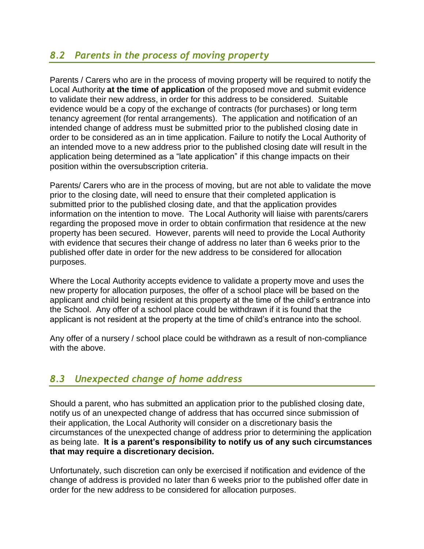#### <span id="page-16-0"></span>*8.2 Parents in the process of moving property*

Parents / Carers who are in the process of moving property will be required to notify the Local Authority **at the time of application** of the proposed move and submit evidence to validate their new address, in order for this address to be considered. Suitable evidence would be a copy of the exchange of contracts (for purchases) or long term tenancy agreement (for rental arrangements). The application and notification of an intended change of address must be submitted prior to the published closing date in order to be considered as an in time application. Failure to notify the Local Authority of an intended move to a new address prior to the published closing date will result in the application being determined as a "late application" if this change impacts on their position within the oversubscription criteria.

Parents/ Carers who are in the process of moving, but are not able to validate the move prior to the closing date, will need to ensure that their completed application is submitted prior to the published closing date, and that the application provides information on the intention to move. The Local Authority will liaise with parents/carers regarding the proposed move in order to obtain confirmation that residence at the new property has been secured. However, parents will need to provide the Local Authority with evidence that secures their change of address no later than 6 weeks prior to the published offer date in order for the new address to be considered for allocation purposes.

Where the Local Authority accepts evidence to validate a property move and uses the new property for allocation purposes, the offer of a school place will be based on the applicant and child being resident at this property at the time of the child's entrance into the School. Any offer of a school place could be withdrawn if it is found that the applicant is not resident at the property at the time of child's entrance into the school.

<span id="page-16-1"></span>Any offer of a nursery / school place could be withdrawn as a result of non-compliance with the above.

#### *8.3 Unexpected change of home address*

Should a parent, who has submitted an application prior to the published closing date, notify us of an unexpected change of address that has occurred since submission of their application, the Local Authority will consider on a discretionary basis the circumstances of the unexpected change of address prior to determining the application as being late. **It is a parent's responsibility to notify us of any such circumstances that may require a discretionary decision.**

Unfortunately, such discretion can only be exercised if notification and evidence of the change of address is provided no later than 6 weeks prior to the published offer date in order for the new address to be considered for allocation purposes.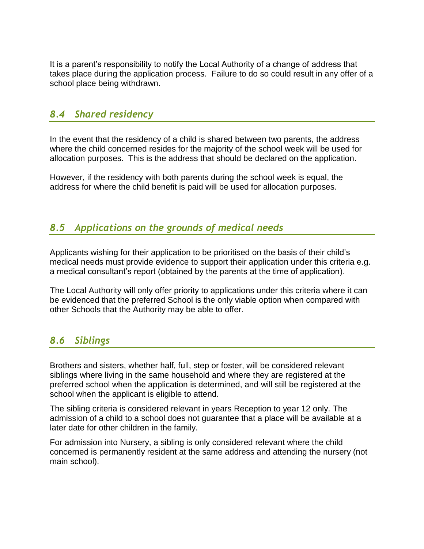It is a parent's responsibility to notify the Local Authority of a change of address that takes place during the application process. Failure to do so could result in any offer of a school place being withdrawn.

#### <span id="page-17-0"></span>*8.4 Shared residency*

In the event that the residency of a child is shared between two parents, the address where the child concerned resides for the majority of the school week will be used for allocation purposes. This is the address that should be declared on the application.

However, if the residency with both parents during the school week is equal, the address for where the child benefit is paid will be used for allocation purposes.

#### <span id="page-17-1"></span>*8.5 Applications on the grounds of medical needs*

Applicants wishing for their application to be prioritised on the basis of their child's medical needs must provide evidence to support their application under this criteria e.g. a medical consultant's report (obtained by the parents at the time of application).

The Local Authority will only offer priority to applications under this criteria where it can be evidenced that the preferred School is the only viable option when compared with other Schools that the Authority may be able to offer.

#### <span id="page-17-2"></span>*8.6 Siblings*

Brothers and sisters, whether half, full, step or foster, will be considered relevant siblings where living in the same household and where they are registered at the preferred school when the application is determined, and will still be registered at the school when the applicant is eligible to attend.

The sibling criteria is considered relevant in years Reception to year 12 only. The admission of a child to a school does not guarantee that a place will be available at a later date for other children in the family.

For admission into Nursery, a sibling is only considered relevant where the child concerned is permanently resident at the same address and attending the nursery (not main school).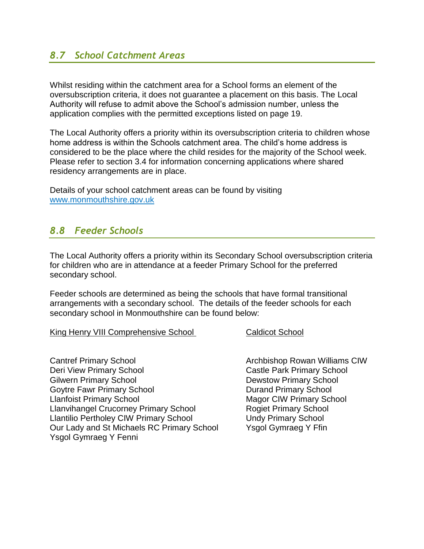#### <span id="page-18-0"></span>*8.7 School Catchment Areas*

Whilst residing within the catchment area for a School forms an element of the oversubscription criteria, it does not guarantee a placement on this basis. The Local Authority will refuse to admit above the School's admission number, unless the application complies with the permitted exceptions listed on page 19.

The Local Authority offers a priority within its oversubscription criteria to children whose home address is within the Schools catchment area. The child's home address is considered to be the place where the child resides for the majority of the School week. Please refer to section 3.4 for information concerning applications where shared residency arrangements are in place.

<span id="page-18-1"></span>Details of your school catchment areas can be found by visiting [www.monmouthshire.gov.uk](http://www.monmouthshire.gov.uk/)

#### *8.8 Feeder Schools*

The Local Authority offers a priority within its Secondary School oversubscription criteria for children who are in attendance at a feeder Primary School for the preferred secondary school.

Feeder schools are determined as being the schools that have formal transitional arrangements with a secondary school. The details of the feeder schools for each secondary school in Monmouthshire can be found below:

King Henry VIII Comprehensive School Caldicot School

Cantref Primary School **Cantref Primary School** Archbishop Rowan Williams CIW Deri View Primary School **Castle Park Primary School** Gilwern Primary School **Dewstow Primary School** Goytre Fawr Primary School **Contrary School** Durand Primary School Llanfoist Primary School Magor CIW Primary School Llanvihangel Crucorney Primary School Rogiet Primary School Llantilio Pertholey CIW Primary School Undy Primary School Our Lady and St Michaels RC Primary School Ysgol Gymraeg Y Ffin Ysgol Gymraeg Y Fenni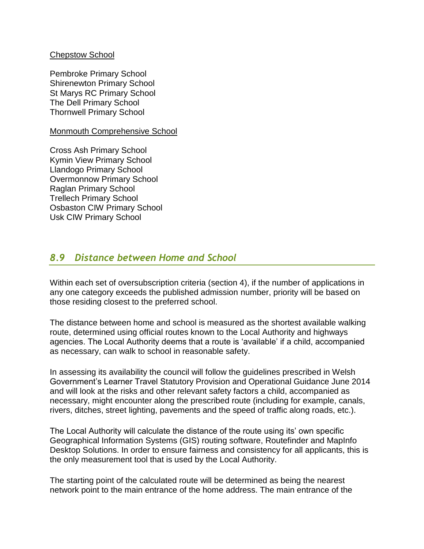#### Chepstow School

Pembroke Primary School Shirenewton Primary School St Marys RC Primary School The Dell Primary School Thornwell Primary School

Monmouth Comprehensive School

Cross Ash Primary School Kymin View Primary School Llandogo Primary School Overmonnow Primary School Raglan Primary School Trellech Primary School Osbaston CIW Primary School Usk CIW Primary School

#### <span id="page-19-0"></span>*8.9 Distance between Home and School*

Within each set of oversubscription criteria (section 4), if the number of applications in any one category exceeds the published admission number, priority will be based on those residing closest to the preferred school.

The distance between home and school is measured as the shortest available walking route, determined using official routes known to the Local Authority and highways agencies. The Local Authority deems that a route is 'available' if a child, accompanied as necessary, can walk to school in reasonable safety.

In assessing its availability the council will follow the guidelines prescribed in Welsh Government's Learner Travel Statutory Provision and Operational Guidance June 2014 and will look at the risks and other relevant safety factors a child, accompanied as necessary, might encounter along the prescribed route (including for example, canals, rivers, ditches, street lighting, pavements and the speed of traffic along roads, etc.).

The Local Authority will calculate the distance of the route using its' own specific Geographical Information Systems (GIS) routing software, Routefinder and MapInfo Desktop Solutions. In order to ensure fairness and consistency for all applicants, this is the only measurement tool that is used by the Local Authority.

The starting point of the calculated route will be determined as being the nearest network point to the main entrance of the home address. The main entrance of the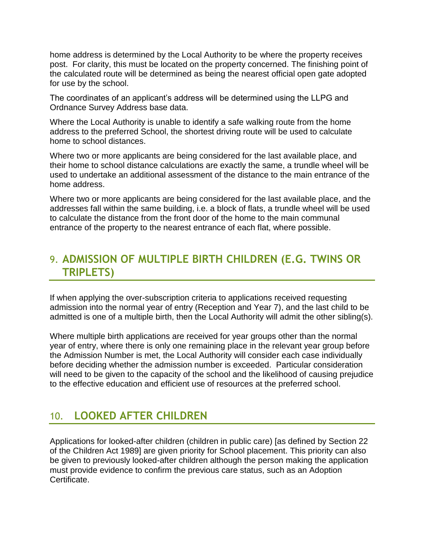home address is determined by the Local Authority to be where the property receives post. For clarity, this must be located on the property concerned. The finishing point of the calculated route will be determined as being the nearest official open gate adopted for use by the school.

The coordinates of an applicant's address will be determined using the LLPG and Ordnance Survey Address base data.

Where the Local Authority is unable to identify a safe walking route from the home address to the preferred School, the shortest driving route will be used to calculate home to school distances.

Where two or more applicants are being considered for the last available place, and their home to school distance calculations are exactly the same, a trundle wheel will be used to undertake an additional assessment of the distance to the main entrance of the home address.

Where two or more applicants are being considered for the last available place, and the addresses fall within the same building, i.e. a block of flats, a trundle wheel will be used to calculate the distance from the front door of the home to the main communal entrance of the property to the nearest entrance of each flat, where possible.

# <span id="page-20-0"></span>9. **ADMISSION OF MULTIPLE BIRTH CHILDREN (E.G. TWINS OR TRIPLETS)**

If when applying the over-subscription criteria to applications received requesting admission into the normal year of entry (Reception and Year 7), and the last child to be admitted is one of a multiple birth, then the Local Authority will admit the other sibling(s).

Where multiple birth applications are received for year groups other than the normal year of entry, where there is only one remaining place in the relevant year group before the Admission Number is met, the Local Authority will consider each case individually before deciding whether the admission number is exceeded. Particular consideration will need to be given to the capacity of the school and the likelihood of causing prejudice to the effective education and efficient use of resources at the preferred school.

# <span id="page-20-1"></span>10. **LOOKED AFTER CHILDREN**

Applications for looked-after children (children in public care) [as defined by Section 22 of the Children Act 1989] are given priority for School placement. This priority can also be given to previously looked-after children although the person making the application must provide evidence to confirm the previous care status, such as an Adoption Certificate.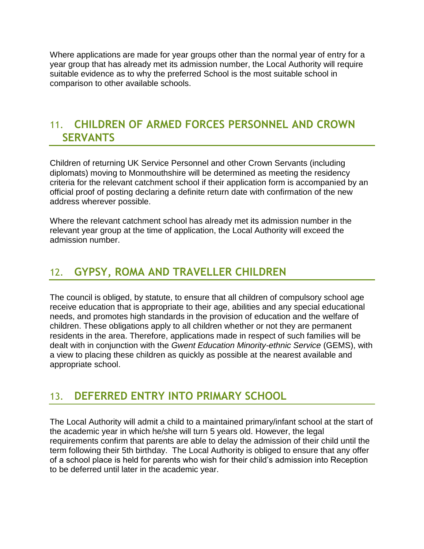Where applications are made for year groups other than the normal year of entry for a year group that has already met its admission number, the Local Authority will require suitable evidence as to why the preferred School is the most suitable school in comparison to other available schools.

#### <span id="page-21-0"></span>11. **CHILDREN OF ARMED FORCES PERSONNEL AND CROWN SERVANTS**

Children of returning UK Service Personnel and other Crown Servants (including diplomats) moving to Monmouthshire will be determined as meeting the residency criteria for the relevant catchment school if their application form is accompanied by an official proof of posting declaring a definite return date with confirmation of the new address wherever possible.

Where the relevant catchment school has already met its admission number in the relevant year group at the time of application, the Local Authority will exceed the admission number.

# <span id="page-21-1"></span>12. **GYPSY, ROMA AND TRAVELLER CHILDREN**

The council is obliged, by statute, to ensure that all children of compulsory school age receive education that is appropriate to their age, abilities and any special educational needs, and promotes high standards in the provision of education and the welfare of children. These obligations apply to all children whether or not they are permanent residents in the area. Therefore, applications made in respect of such families will be dealt with in conjunction with the *Gwent Education Minority-ethnic Service* (GEMS), with a view to placing these children as quickly as possible at the nearest available and appropriate school.

### <span id="page-21-2"></span>13. **DEFERRED ENTRY INTO PRIMARY SCHOOL**

The Local Authority will admit a child to a maintained primary/infant school at the start of the academic year in which he/she will turn 5 years old. However, the legal requirements confirm that parents are able to delay the admission of their child until the term following their 5th birthday. The Local Authority is obliged to ensure that any offer of a school place is held for parents who wish for their child's admission into Reception to be deferred until later in the academic year.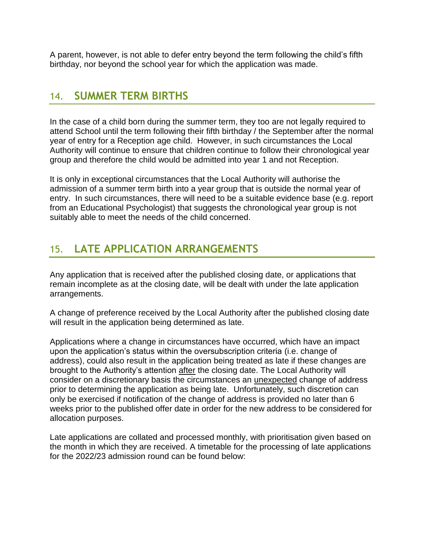<span id="page-22-0"></span>A parent, however, is not able to defer entry beyond the term following the child's fifth birthday, nor beyond the school year for which the application was made.

#### 14. **SUMMER TERM BIRTHS**

In the case of a child born during the summer term, they too are not legally required to attend School until the term following their fifth birthday / the September after the normal year of entry for a Reception age child. However, in such circumstances the Local Authority will continue to ensure that children continue to follow their chronological year group and therefore the child would be admitted into year 1 and not Reception.

It is only in exceptional circumstances that the Local Authority will authorise the admission of a summer term birth into a year group that is outside the normal year of entry. In such circumstances, there will need to be a suitable evidence base (e.g. report from an Educational Psychologist) that suggests the chronological year group is not suitably able to meet the needs of the child concerned.

# <span id="page-22-1"></span>15. **LATE APPLICATION ARRANGEMENTS**

Any application that is received after the published closing date, or applications that remain incomplete as at the closing date, will be dealt with under the late application arrangements.

A change of preference received by the Local Authority after the published closing date will result in the application being determined as late.

Applications where a change in circumstances have occurred, which have an impact upon the application's status within the oversubscription criteria (i.e. change of address), could also result in the application being treated as late if these changes are brought to the Authority's attention after the closing date. The Local Authority will consider on a discretionary basis the circumstances an unexpected change of address prior to determining the application as being late. Unfortunately, such discretion can only be exercised if notification of the change of address is provided no later than 6 weeks prior to the published offer date in order for the new address to be considered for allocation purposes.

Late applications are collated and processed monthly, with prioritisation given based on the month in which they are received. A timetable for the processing of late applications for the 2022/23 admission round can be found below: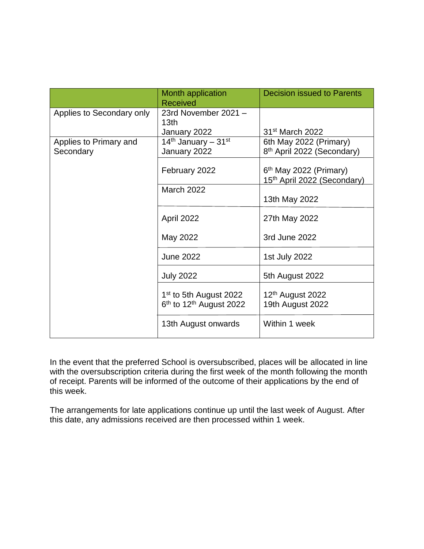|                           | Month application<br><b>Received</b>                                                  | <b>Decision issued to Parents</b>                                   |
|---------------------------|---------------------------------------------------------------------------------------|---------------------------------------------------------------------|
| Applies to Secondary only | 23rd November 2021 -<br>13 <sub>th</sub>                                              |                                                                     |
|                           | January 2022                                                                          | 31 <sup>st</sup> March 2022                                         |
| Applies to Primary and    | 14 <sup>th</sup> January – 31 <sup>st</sup>                                           | 6th May 2022 (Primary)                                              |
| Secondary                 | January 2022                                                                          | 8 <sup>th</sup> April 2022 (Secondary)                              |
|                           | February 2022                                                                         | $6th$ May 2022 (Primary)<br>15 <sup>th</sup> April 2022 (Secondary) |
|                           | <b>March 2022</b>                                                                     |                                                                     |
|                           |                                                                                       | 13th May 2022                                                       |
|                           | April 2022                                                                            | 27th May 2022                                                       |
|                           | May 2022                                                                              | 3rd June 2022                                                       |
|                           | <b>June 2022</b>                                                                      | 1st July 2022                                                       |
|                           | <b>July 2022</b>                                                                      | 5th August 2022                                                     |
|                           | 1 <sup>st</sup> to 5th August 2022<br>6 <sup>th</sup> to 12 <sup>th</sup> August 2022 | 12th August 2022<br>19th August 2022                                |
|                           | 13th August onwards                                                                   | Within 1 week                                                       |

In the event that the preferred School is oversubscribed, places will be allocated in line with the oversubscription criteria during the first week of the month following the month of receipt. Parents will be informed of the outcome of their applications by the end of this week.

The arrangements for late applications continue up until the last week of August. After this date, any admissions received are then processed within 1 week.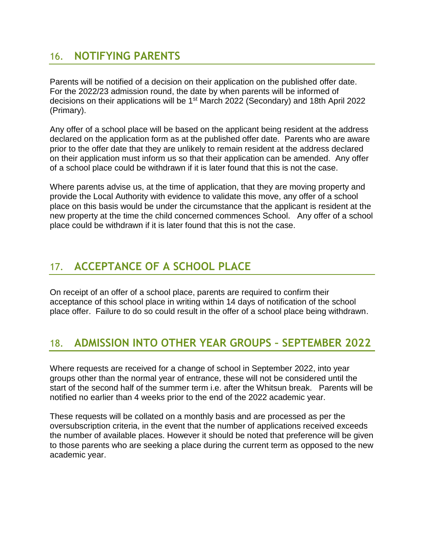### <span id="page-24-0"></span>16. **NOTIFYING PARENTS**

Parents will be notified of a decision on their application on the published offer date. For the 2022/23 admission round, the date by when parents will be informed of decisions on their applications will be 1<sup>st</sup> March 2022 (Secondary) and 18th April 2022 (Primary).

Any offer of a school place will be based on the applicant being resident at the address declared on the application form as at the published offer date. Parents who are aware prior to the offer date that they are unlikely to remain resident at the address declared on their application must inform us so that their application can be amended. Any offer of a school place could be withdrawn if it is later found that this is not the case.

Where parents advise us, at the time of application, that they are moving property and provide the Local Authority with evidence to validate this move, any offer of a school place on this basis would be under the circumstance that the applicant is resident at the new property at the time the child concerned commences School. Any offer of a school place could be withdrawn if it is later found that this is not the case.

# <span id="page-24-1"></span>17. **ACCEPTANCE OF A SCHOOL PLACE**

On receipt of an offer of a school place, parents are required to confirm their acceptance of this school place in writing within 14 days of notification of the school place offer. Failure to do so could result in the offer of a school place being withdrawn.

# <span id="page-24-2"></span>18. **ADMISSION INTO OTHER YEAR GROUPS – SEPTEMBER 2022**

Where requests are received for a change of school in September 2022, into year groups other than the normal year of entrance, these will not be considered until the start of the second half of the summer term i.e. after the Whitsun break. Parents will be notified no earlier than 4 weeks prior to the end of the 2022 academic year.

These requests will be collated on a monthly basis and are processed as per the oversubscription criteria, in the event that the number of applications received exceeds the number of available places. However it should be noted that preference will be given to those parents who are seeking a place during the current term as opposed to the new academic year.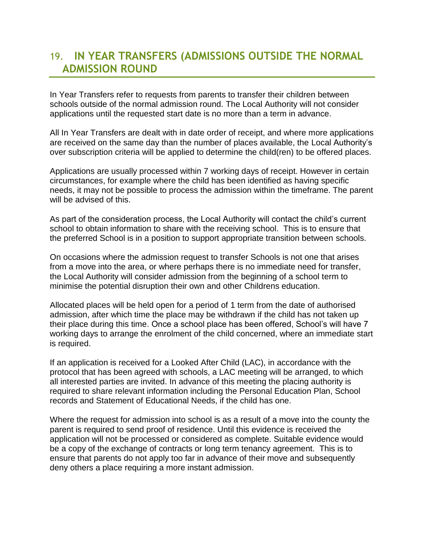# <span id="page-25-0"></span>19. **IN YEAR TRANSFERS (ADMISSIONS OUTSIDE THE NORMAL ADMISSION ROUND**

In Year Transfers refer to requests from parents to transfer their children between schools outside of the normal admission round. The Local Authority will not consider applications until the requested start date is no more than a term in advance.

All In Year Transfers are dealt with in date order of receipt, and where more applications are received on the same day than the number of places available, the Local Authority's over subscription criteria will be applied to determine the child(ren) to be offered places.

Applications are usually processed within 7 working days of receipt. However in certain circumstances, for example where the child has been identified as having specific needs, it may not be possible to process the admission within the timeframe. The parent will be advised of this.

As part of the consideration process, the Local Authority will contact the child's current school to obtain information to share with the receiving school. This is to ensure that the preferred School is in a position to support appropriate transition between schools.

On occasions where the admission request to transfer Schools is not one that arises from a move into the area, or where perhaps there is no immediate need for transfer, the Local Authority will consider admission from the beginning of a school term to minimise the potential disruption their own and other Childrens education.

Allocated places will be held open for a period of 1 term from the date of authorised admission, after which time the place may be withdrawn if the child has not taken up their place during this time. Once a school place has been offered, School's will have 7 working days to arrange the enrolment of the child concerned, where an immediate start is required.

If an application is received for a Looked After Child (LAC), in accordance with the protocol that has been agreed with schools, a LAC meeting will be arranged, to which all interested parties are invited. In advance of this meeting the placing authority is required to share relevant information including the Personal Education Plan, School records and Statement of Educational Needs, if the child has one.

Where the request for admission into school is as a result of a move into the county the parent is required to send proof of residence. Until this evidence is received the application will not be processed or considered as complete. Suitable evidence would be a copy of the exchange of contracts or long term tenancy agreement. This is to ensure that parents do not apply too far in advance of their move and subsequently deny others a place requiring a more instant admission.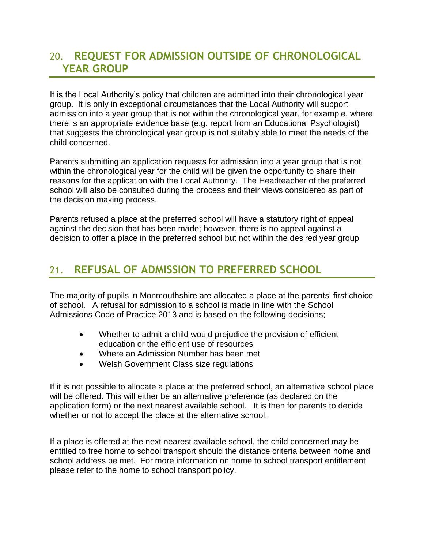# <span id="page-26-0"></span>20. **REQUEST FOR ADMISSION OUTSIDE OF CHRONOLOGICAL YEAR GROUP**

It is the Local Authority's policy that children are admitted into their chronological year group. It is only in exceptional circumstances that the Local Authority will support admission into a year group that is not within the chronological year, for example, where there is an appropriate evidence base (e.g. report from an Educational Psychologist) that suggests the chronological year group is not suitably able to meet the needs of the child concerned.

Parents submitting an application requests for admission into a year group that is not within the chronological year for the child will be given the opportunity to share their reasons for the application with the Local Authority. The Headteacher of the preferred school will also be consulted during the process and their views considered as part of the decision making process.

Parents refused a place at the preferred school will have a statutory right of appeal against the decision that has been made; however, there is no appeal against a decision to offer a place in the preferred school but not within the desired year group

# <span id="page-26-1"></span>21. **REFUSAL OF ADMISSION TO PREFERRED SCHOOL**

The majority of pupils in Monmouthshire are allocated a place at the parents' first choice of school. A refusal for admission to a school is made in line with the School Admissions Code of Practice 2013 and is based on the following decisions;

- Whether to admit a child would prejudice the provision of efficient education or the efficient use of resources
- Where an Admission Number has been met
- Welsh Government Class size regulations

If it is not possible to allocate a place at the preferred school, an alternative school place will be offered. This will either be an alternative preference (as declared on the application form) or the next nearest available school. It is then for parents to decide whether or not to accept the place at the alternative school.

If a place is offered at the next nearest available school, the child concerned may be entitled to free home to school transport should the distance criteria between home and school address be met. For more information on home to school transport entitlement please refer to the home to school transport policy.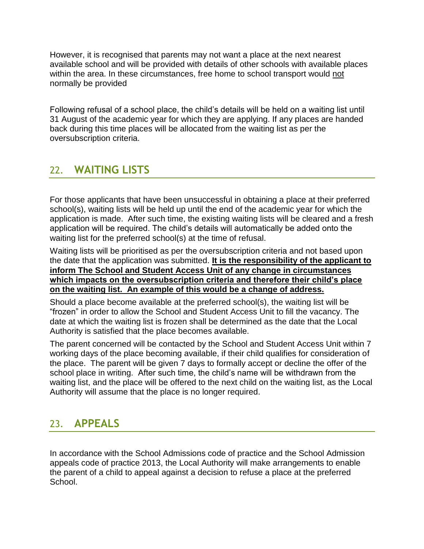However, it is recognised that parents may not want a place at the next nearest available school and will be provided with details of other schools with available places within the area. In these circumstances, free home to school transport would not normally be provided

Following refusal of a school place, the child's details will be held on a waiting list until 31 August of the academic year for which they are applying. If any places are handed back during this time places will be allocated from the waiting list as per the oversubscription criteria.

# <span id="page-27-0"></span>22. **WAITING LISTS**

For those applicants that have been unsuccessful in obtaining a place at their preferred school(s), waiting lists will be held up until the end of the academic year for which the application is made. After such time, the existing waiting lists will be cleared and a fresh application will be required. The child's details will automatically be added onto the waiting list for the preferred school(s) at the time of refusal.

Waiting lists will be prioritised as per the oversubscription criteria and not based upon the date that the application was submitted. **It is the responsibility of the applicant to inform The School and Student Access Unit of any change in circumstances which impacts on the oversubscription criteria and therefore their child's place on the waiting list. An example of this would be a change of address.**

Should a place become available at the preferred school(s), the waiting list will be "frozen" in order to allow the School and Student Access Unit to fill the vacancy. The date at which the waiting list is frozen shall be determined as the date that the Local Authority is satisfied that the place becomes available.

The parent concerned will be contacted by the School and Student Access Unit within 7 working days of the place becoming available, if their child qualifies for consideration of the place. The parent will be given 7 days to formally accept or decline the offer of the school place in writing. After such time, the child's name will be withdrawn from the waiting list, and the place will be offered to the next child on the waiting list, as the Local Authority will assume that the place is no longer required.

# <span id="page-27-1"></span>23. **APPEALS**

In accordance with the School Admissions code of practice and the School Admission appeals code of practice 2013, the Local Authority will make arrangements to enable the parent of a child to appeal against a decision to refuse a place at the preferred School.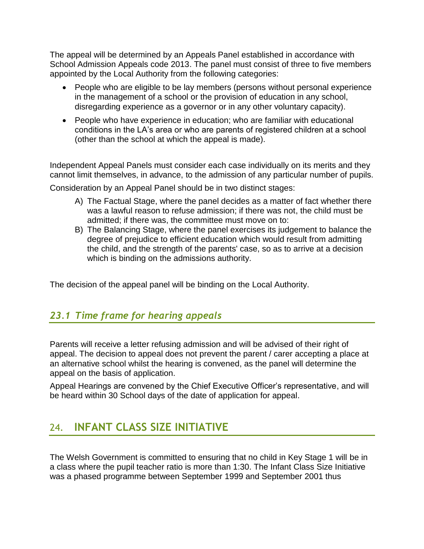The appeal will be determined by an Appeals Panel established in accordance with School Admission Appeals code 2013. The panel must consist of three to five members appointed by the Local Authority from the following categories:

- People who are eligible to be lay members (persons without personal experience in the management of a school or the provision of education in any school, disregarding experience as a governor or in any other voluntary capacity).
- People who have experience in education; who are familiar with educational conditions in the LA's area or who are parents of registered children at a school (other than the school at which the appeal is made).

Independent Appeal Panels must consider each case individually on its merits and they cannot limit themselves, in advance, to the admission of any particular number of pupils.

Consideration by an Appeal Panel should be in two distinct stages:

- A) The Factual Stage, where the panel decides as a matter of fact whether there was a lawful reason to refuse admission; if there was not, the child must be admitted; if there was, the committee must move on to:
- B) The Balancing Stage, where the panel exercises its judgement to balance the degree of prejudice to efficient education which would result from admitting the child, and the strength of the parents' case, so as to arrive at a decision which is binding on the admissions authority.

<span id="page-28-0"></span>The decision of the appeal panel will be binding on the Local Authority.

#### *23.1 Time frame for hearing appeals*

Parents will receive a letter refusing admission and will be advised of their right of appeal. The decision to appeal does not prevent the parent / carer accepting a place at an alternative school whilst the hearing is convened, as the panel will determine the appeal on the basis of application.

Appeal Hearings are convened by the Chief Executive Officer's representative, and will be heard within 30 School days of the date of application for appeal.

# <span id="page-28-1"></span>24. **INFANT CLASS SIZE INITIATIVE**

The Welsh Government is committed to ensuring that no child in Key Stage 1 will be in a class where the pupil teacher ratio is more than 1:30. The Infant Class Size Initiative was a phased programme between September 1999 and September 2001 thus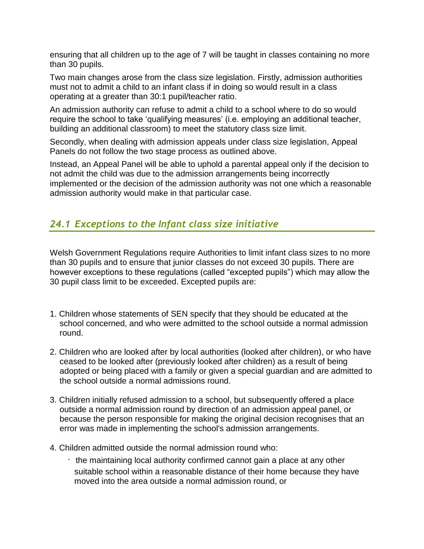ensuring that all children up to the age of 7 will be taught in classes containing no more than 30 pupils.

Two main changes arose from the class size legislation. Firstly, admission authorities must not to admit a child to an infant class if in doing so would result in a class operating at a greater than 30:1 pupil/teacher ratio.

An admission authority can refuse to admit a child to a school where to do so would require the school to take 'qualifying measures' (i.e. employing an additional teacher, building an additional classroom) to meet the statutory class size limit.

Secondly, when dealing with admission appeals under class size legislation, Appeal Panels do not follow the two stage process as outlined above.

Instead, an Appeal Panel will be able to uphold a parental appeal only if the decision to not admit the child was due to the admission arrangements being incorrectly implemented or the decision of the admission authority was not one which a reasonable admission authority would make in that particular case.

#### <span id="page-29-0"></span>*24.1 Exceptions to the Infant class size initiative*

Welsh Government Regulations require Authorities to limit infant class sizes to no more than 30 pupils and to ensure that junior classes do not exceed 30 pupils. There are however exceptions to these regulations (called "excepted pupils") which may allow the 30 pupil class limit to be exceeded. Excepted pupils are:

- 1. Children whose statements of SEN specify that they should be educated at the school concerned, and who were admitted to the school outside a normal admission round.
- 2. Children who are looked after by local authorities (looked after children), or who have ceased to be looked after (previously looked after children) as a result of being adopted or being placed with a family or given a special guardian and are admitted to the school outside a normal admissions round.
- 3. Children initially refused admission to a school, but subsequently offered a place outside a normal admission round by direction of an admission appeal panel, or because the person responsible for making the original decision recognises that an error was made in implementing the school's admission arrangements.
- 4. Children admitted outside the normal admission round who:
	- $\cdot$  the maintaining local authority confirmed cannot gain a place at any other suitable school within a reasonable distance of their home because they have moved into the area outside a normal admission round, or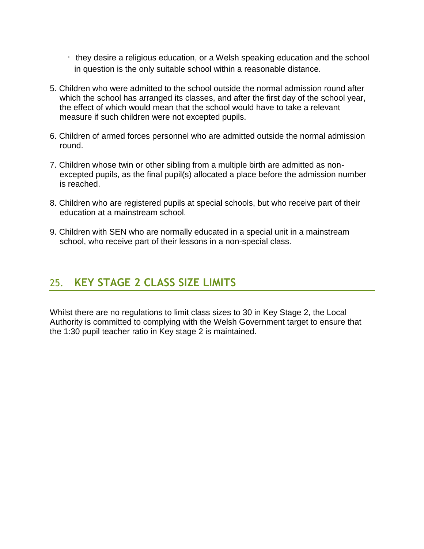- $\cdot$  they desire a religious education, or a Welsh speaking education and the school in question is the only suitable school within a reasonable distance.
- 5. Children who were admitted to the school outside the normal admission round after which the school has arranged its classes, and after the first day of the school year, the effect of which would mean that the school would have to take a relevant measure if such children were not excepted pupils.
- 6. Children of armed forces personnel who are admitted outside the normal admission round.
- 7. Children whose twin or other sibling from a multiple birth are admitted as nonexcepted pupils, as the final pupil(s) allocated a place before the admission number is reached.
- 8. Children who are registered pupils at special schools, but who receive part of their education at a mainstream school.
- 9. Children with SEN who are normally educated in a special unit in a mainstream school, who receive part of their lessons in a non-special class.

# <span id="page-30-0"></span>25. **KEY STAGE 2 CLASS SIZE LIMITS**

Whilst there are no regulations to limit class sizes to 30 in Key Stage 2, the Local Authority is committed to complying with the Welsh Government target to ensure that the 1:30 pupil teacher ratio in Key stage 2 is maintained.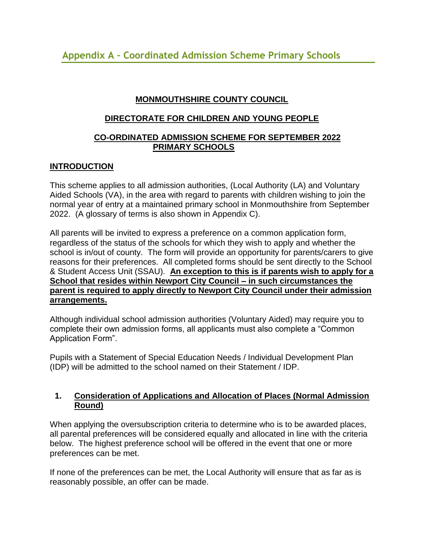#### **MONMOUTHSHIRE COUNTY COUNCIL**

#### <span id="page-31-0"></span>**DIRECTORATE FOR CHILDREN AND YOUNG PEOPLE**

#### **CO-ORDINATED ADMISSION SCHEME FOR SEPTEMBER 2022 PRIMARY SCHOOLS**

#### **INTRODUCTION**

This scheme applies to all admission authorities, (Local Authority (LA) and Voluntary Aided Schools (VA), in the area with regard to parents with children wishing to join the normal year of entry at a maintained primary school in Monmouthshire from September 2022. (A glossary of terms is also shown in Appendix C).

All parents will be invited to express a preference on a common application form, regardless of the status of the schools for which they wish to apply and whether the school is in/out of county. The form will provide an opportunity for parents/carers to give reasons for their preferences. All completed forms should be sent directly to the School & Student Access Unit (SSAU). **An exception to this is if parents wish to apply for a School that resides within Newport City Council – in such circumstances the parent is required to apply directly to Newport City Council under their admission arrangements.** 

Although individual school admission authorities (Voluntary Aided) may require you to complete their own admission forms, all applicants must also complete a "Common Application Form".

Pupils with a Statement of Special Education Needs / Individual Development Plan (IDP) will be admitted to the school named on their Statement / IDP.

#### **1. Consideration of Applications and Allocation of Places (Normal Admission Round)**

When applying the oversubscription criteria to determine who is to be awarded places, all parental preferences will be considered equally and allocated in line with the criteria below. The highest preference school will be offered in the event that one or more preferences can be met.

If none of the preferences can be met, the Local Authority will ensure that as far as is reasonably possible, an offer can be made.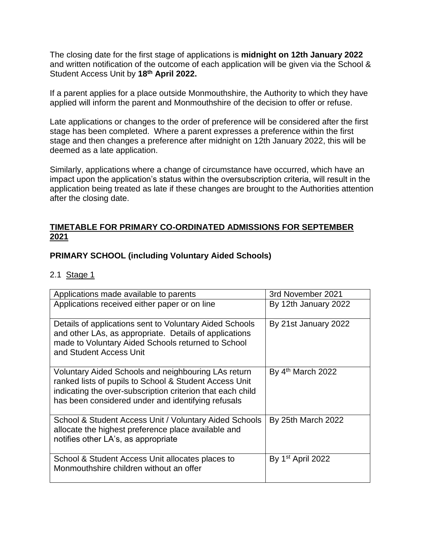The closing date for the first stage of applications is **midnight on 12th January 2022** and written notification of the outcome of each application will be given via the School & Student Access Unit by **18th April 2022.**

If a parent applies for a place outside Monmouthshire, the Authority to which they have applied will inform the parent and Monmouthshire of the decision to offer or refuse.

Late applications or changes to the order of preference will be considered after the first stage has been completed. Where a parent expresses a preference within the first stage and then changes a preference after midnight on 12th January 2022, this will be deemed as a late application.

Similarly, applications where a change of circumstance have occurred, which have an impact upon the application's status within the oversubscription criteria, will result in the application being treated as late if these changes are brought to the Authorities attention after the closing date.

#### **TIMETABLE FOR PRIMARY CO-ORDINATED ADMISSIONS FOR SEPTEMBER 2021**

#### **PRIMARY SCHOOL (including Voluntary Aided Schools)**

#### 2.1 Stage 1

| Applications made available to parents                                                                                                                                                                                            | 3rd November 2021    |
|-----------------------------------------------------------------------------------------------------------------------------------------------------------------------------------------------------------------------------------|----------------------|
| Applications received either paper or on line                                                                                                                                                                                     | By 12th January 2022 |
| Details of applications sent to Voluntary Aided Schools<br>and other LAs, as appropriate. Details of applications<br>made to Voluntary Aided Schools returned to School<br>and Student Access Unit                                | By 21st January 2022 |
| Voluntary Aided Schools and neighbouring LAs return<br>ranked lists of pupils to School & Student Access Unit<br>indicating the over-subscription criterion that each child<br>has been considered under and identifying refusals | By 4th March 2022    |
| School & Student Access Unit / Voluntary Aided Schools<br>allocate the highest preference place available and<br>notifies other LA's, as appropriate                                                                              | By 25th March 2022   |
| School & Student Access Unit allocates places to<br>Monmouthshire children without an offer                                                                                                                                       | By $1st$ April 2022  |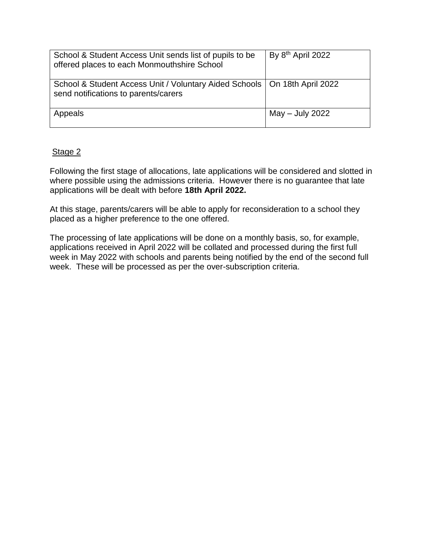| School & Student Access Unit sends list of pupils to be<br>offered places to each Monmouthshire School              | By $8th$ April 2022 |
|---------------------------------------------------------------------------------------------------------------------|---------------------|
| School & Student Access Unit / Voluntary Aided Schools   On 18th April 2022<br>send notifications to parents/carers |                     |
| Appeals                                                                                                             | $May - July 2022$   |

#### Stage 2

Following the first stage of allocations, late applications will be considered and slotted in where possible using the admissions criteria. However there is no guarantee that late applications will be dealt with before **18th April 2022.** 

At this stage, parents/carers will be able to apply for reconsideration to a school they placed as a higher preference to the one offered.

The processing of late applications will be done on a monthly basis, so, for example, applications received in April 2022 will be collated and processed during the first full week in May 2022 with schools and parents being notified by the end of the second full week. These will be processed as per the over-subscription criteria.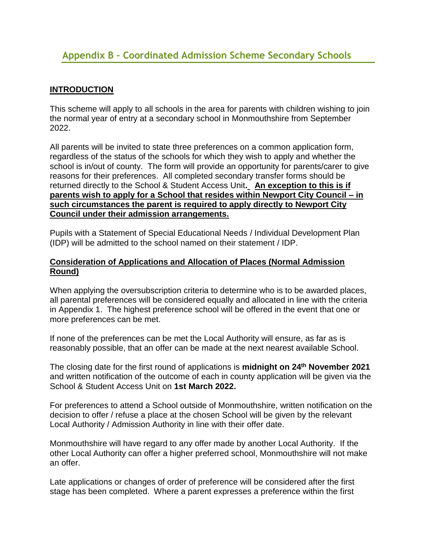#### <span id="page-34-0"></span>**INTRODUCTION**

This scheme will apply to all schools in the area for parents with children wishing to join the normal year of entry at a secondary school in Monmouthshire from September 2022.

All parents will be invited to state three preferences on a common application form, regardless of the status of the schools for which they wish to apply and whether the school is in/out of county. The form will provide an opportunity for parents/carer to give reasons for their preferences. All completed secondary transfer forms should be returned directly to the School & Student Access Unit**. An exception to this is if parents wish to apply for a School that resides within Newport City Council – in such circumstances the parent is required to apply directly to Newport City Council under their admission arrangements.** 

Pupils with a Statement of Special Educational Needs / Individual Development Plan (IDP) will be admitted to the school named on their statement / IDP.

#### **Consideration of Applications and Allocation of Places (Normal Admission Round)**

When applying the oversubscription criteria to determine who is to be awarded places, all parental preferences will be considered equally and allocated in line with the criteria in Appendix 1. The highest preference school will be offered in the event that one or more preferences can be met.

If none of the preferences can be met the Local Authority will ensure, as far as is reasonably possible, that an offer can be made at the next nearest available School.

The closing date for the first round of applications is **midnight on 24th November 2021** and written notification of the outcome of each in county application will be given via the School & Student Access Unit on **1st March 2022.**

For preferences to attend a School outside of Monmouthshire, written notification on the decision to offer / refuse a place at the chosen School will be given by the relevant Local Authority / Admission Authority in line with their offer date.

Monmouthshire will have regard to any offer made by another Local Authority. If the other Local Authority can offer a higher preferred school, Monmouthshire will not make an offer.

Late applications or changes of order of preference will be considered after the first stage has been completed. Where a parent expresses a preference within the first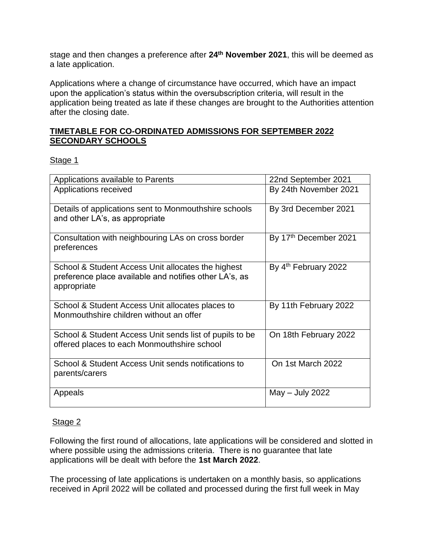stage and then changes a preference after **24th November 2021**, this will be deemed as a late application.

Applications where a change of circumstance have occurred, which have an impact upon the application's status within the oversubscription criteria, will result in the application being treated as late if these changes are brought to the Authorities attention after the closing date.

#### **TIMETABLE FOR CO-ORDINATED ADMISSIONS FOR SEPTEMBER 2022 SECONDARY SCHOOLS**

#### Stage 1

| Applications available to Parents                                                                                           | 22nd September 2021   |
|-----------------------------------------------------------------------------------------------------------------------------|-----------------------|
| Applications received                                                                                                       | By 24th November 2021 |
| Details of applications sent to Monmouthshire schools<br>and other LA's, as appropriate                                     | By 3rd December 2021  |
| Consultation with neighbouring LAs on cross border<br>preferences                                                           | By 17th December 2021 |
| School & Student Access Unit allocates the highest<br>preference place available and notifies other LA's, as<br>appropriate | By 4th February 2022  |
| School & Student Access Unit allocates places to<br>Monmouthshire children without an offer                                 | By 11th February 2022 |
| School & Student Access Unit sends list of pupils to be<br>offered places to each Monmouthshire school                      | On 18th February 2022 |
| School & Student Access Unit sends notifications to<br>parents/carers                                                       | On 1st March 2022     |
| Appeals                                                                                                                     | $May - July 2022$     |

#### Stage 2

Following the first round of allocations, late applications will be considered and slotted in where possible using the admissions criteria. There is no guarantee that late applications will be dealt with before the **1st March 2022**.

The processing of late applications is undertaken on a monthly basis, so applications received in April 2022 will be collated and processed during the first full week in May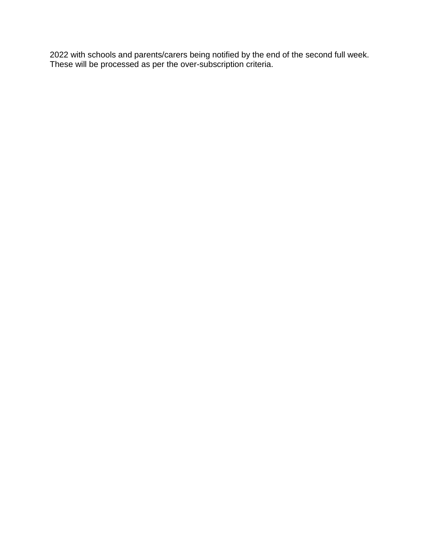2022 with schools and parents/carers being notified by the end of the second full week. These will be processed as per the over-subscription criteria.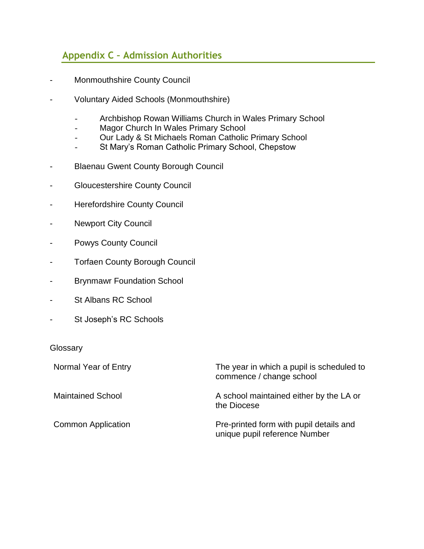#### <span id="page-37-0"></span>**Appendix C – Admission Authorities**

- Monmouthshire County Council
- Voluntary Aided Schools (Monmouthshire)
	- Archbishop Rowan Williams Church in Wales Primary School
	- Magor Church In Wales Primary School
	- Our Lady & St Michaels Roman Catholic Primary School
	- St Mary's Roman Catholic Primary School, Chepstow
- Blaenau Gwent County Borough Council
- Gloucestershire County Council
- Herefordshire County Council
- Newport City Council
- Powys County Council
- Torfaen County Borough Council
- Brynmawr Foundation School
- St Albans RC School
- St Joseph's RC Schools

#### **Glossary**

Normal Year of Entry **The year in which a pupil is scheduled to** commence / change school Maintained School **A** school maintained either by the LA or the Diocese Common Application **Pre-printed form with pupil details and** unique pupil reference Number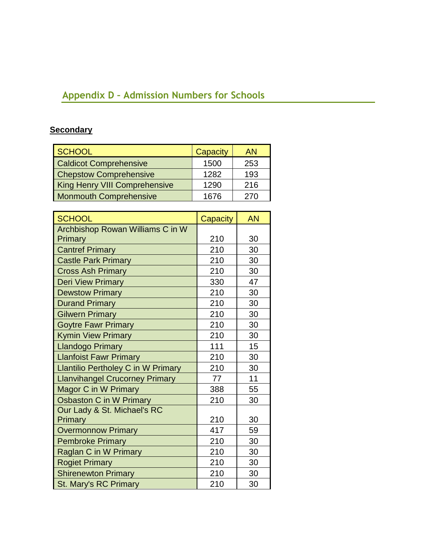# <span id="page-38-0"></span>**Appendix D – Admission Numbers for Schools**

# **Secondary**

| <b>SCHOOL</b>                        | Capacity | AN  |
|--------------------------------------|----------|-----|
| <b>Caldicot Comprehensive</b>        | 1500     | 253 |
| <b>Chepstow Comprehensive</b>        | 1282     | 193 |
| <b>King Henry VIII Comprehensive</b> | 1290     | 216 |
| <b>Monmouth Comprehensive</b>        | 1676     | 270 |

| <b>SCHOOL</b>                             | Capacity | <b>AN</b> |
|-------------------------------------------|----------|-----------|
| Archbishop Rowan Williams C in W          |          |           |
| Primary                                   | 210      | 30        |
| <b>Cantref Primary</b>                    | 210      | 30        |
| <b>Castle Park Primary</b>                | 210      | 30        |
| <b>Cross Ash Primary</b>                  | 210      | 30        |
| <b>Deri View Primary</b>                  | 330      | 47        |
| <b>Dewstow Primary</b>                    | 210      | 30        |
| <b>Durand Primary</b>                     | 210      | 30        |
| <b>Gilwern Primary</b>                    | 210      | 30        |
| <b>Goytre Fawr Primary</b>                | 210      | 30        |
| <b>Kymin View Primary</b>                 | 210      | 30        |
| <b>Llandogo Primary</b>                   | 111      | 15        |
| <b>Llanfoist Fawr Primary</b>             | 210      | 30        |
| <b>Llantilio Pertholey C in W Primary</b> | 210      | 30        |
| <b>Llanvihangel Crucorney Primary</b>     | 77       | 11        |
| <b>Magor C in W Primary</b>               | 388      | 55        |
| Osbaston C in W Primary                   | 210      | 30        |
| Our Lady & St. Michael's RC               |          |           |
| Primary                                   | 210      | 30        |
| <b>Overmonnow Primary</b>                 | 417      | 59        |
| <b>Pembroke Primary</b>                   | 210      | 30        |
| Raglan C in W Primary                     | 210      | 30        |
| <b>Rogiet Primary</b>                     | 210      | 30        |
| <b>Shirenewton Primary</b>                | 210      | 30        |
| <b>St. Mary's RC Primary</b>              | 210      | 30        |